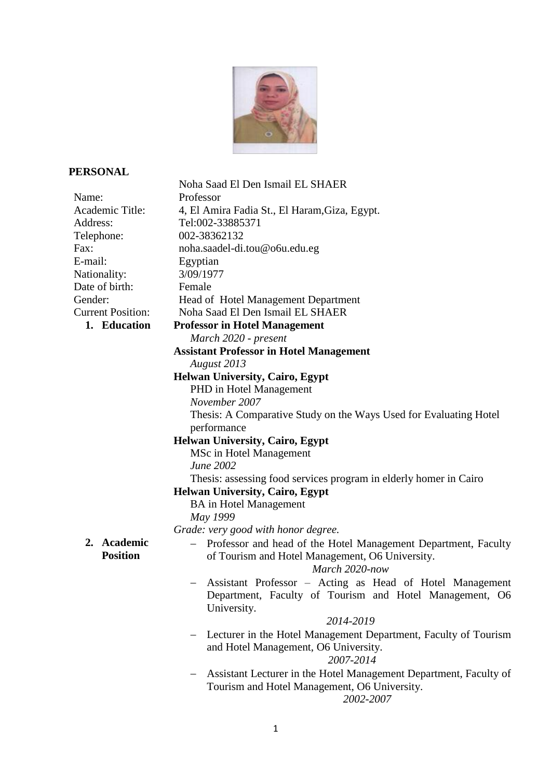

## **PERSONAL**

| Noha Saad El Den Ismail EL SHAER                                                                                    |
|---------------------------------------------------------------------------------------------------------------------|
| Professor                                                                                                           |
| 4, El Amira Fadia St., El Haram, Giza, Egypt.                                                                       |
| Tel:002-33885371                                                                                                    |
| 002-38362132                                                                                                        |
| noha.saadel-di.tou@o6u.edu.eg                                                                                       |
| Egyptian                                                                                                            |
| 3/09/1977                                                                                                           |
| Female                                                                                                              |
| Head of Hotel Management Department                                                                                 |
| Noha Saad El Den Ismail EL SHAER                                                                                    |
| <b>Professor in Hotel Management</b>                                                                                |
| March 2020 - present                                                                                                |
| <b>Assistant Professor in Hotel Management</b>                                                                      |
| August 2013                                                                                                         |
| Helwan University, Cairo, Egypt                                                                                     |
| PHD in Hotel Management                                                                                             |
| November 2007                                                                                                       |
| Thesis: A Comparative Study on the Ways Used for Evaluating Hotel                                                   |
| performance                                                                                                         |
| <b>Helwan University, Cairo, Egypt</b>                                                                              |
| MSc in Hotel Management                                                                                             |
| June 2002                                                                                                           |
| Thesis: assessing food services program in elderly homer in Cairo                                                   |
| <b>Helwan University, Cairo, Egypt</b>                                                                              |
| <b>BA</b> in Hotel Management                                                                                       |
| May 1999                                                                                                            |
| Grade: very good with honor degree.                                                                                 |
| - Professor and head of the Hotel Management Department, Faculty<br>of Tourism and Hotel Management, O6 University. |
| March 2020-now                                                                                                      |
| Assistant Professor - Acting as Head of Hotel Management                                                            |
| Department, Faculty of Tourism and Hotel Management, O6                                                             |
| University.                                                                                                         |
| 2014-2019                                                                                                           |
| Lecturer in the Hotel Management Department, Faculty of Tourism                                                     |
| and Hotel Management, O6 University.                                                                                |
| 2007-2014                                                                                                           |
| Assistant Lecturer in the Hotel Management Department, Faculty of                                                   |
| Tourism and Hotel Management, O6 University.                                                                        |
| 2002-2007                                                                                                           |
|                                                                                                                     |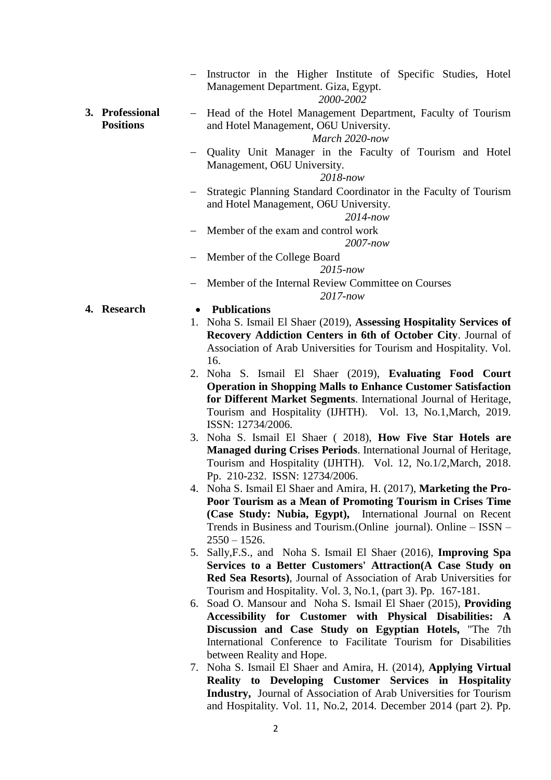|                                     | Instructor in the Higher Institute of Specific Studies, Hotel<br>Management Department. Giza, Egypt.<br>2000-2002                  |  |
|-------------------------------------|------------------------------------------------------------------------------------------------------------------------------------|--|
| 3. Professional<br><b>Positions</b> | Head of the Hotel Management Department, Faculty of Tourism<br>and Hotel Management, O6U University.<br>March 2020-now             |  |
|                                     | Quality Unit Manager in the Faculty of Tourism and Hotel<br>Management, O6U University.<br>$2018$ -now                             |  |
|                                     | Strategic Planning Standard Coordinator in the Faculty of Tourism<br>and Hotel Management, O6U University.<br>$2014$ -now          |  |
|                                     | Member of the exam and control work<br>$2007$ -now                                                                                 |  |
|                                     | Member of the College Board<br>$2015$ -now                                                                                         |  |
|                                     | Member of the Internal Review Committee on Courses<br>2017-now                                                                     |  |
| 4. Research                         | <b>Publications</b>                                                                                                                |  |
|                                     | 1. Noha S. Ismail El Shaer (2019), Assessing Hospitality Services of                                                               |  |
|                                     | Recovery Addiction Centers in 6th of October City. Journal of                                                                      |  |
|                                     | Association of Arab Universities for Tourism and Hospitality. Vol.                                                                 |  |
|                                     | 16.                                                                                                                                |  |
|                                     | 2. Noha S. Ismail El Shaer (2019), Evaluating Food Court                                                                           |  |
|                                     | <b>Operation in Shopping Malls to Enhance Customer Satisfaction</b>                                                                |  |
|                                     | for Different Market Segments. International Journal of Heritage,                                                                  |  |
|                                     | Tourism and Hospitality (IJHTH). Vol. 13, No.1, March, 2019.                                                                       |  |
|                                     | ISSN: 12734/2006.                                                                                                                  |  |
|                                     |                                                                                                                                    |  |
|                                     | 3. Noha S. Ismail El Shaer (2018), How Five Star Hotels are                                                                        |  |
|                                     | Managed during Crises Periods. International Journal of Heritage,                                                                  |  |
|                                     | Tourism and Hospitality (IJHTH). Vol. 12, No.1/2, March, 2018.                                                                     |  |
|                                     | Pp. 210-232. ISSN: 12734/2006.                                                                                                     |  |
|                                     | 4. Noha S. Ismail El Shaer and Amira, H. (2017), Marketing the Pro-                                                                |  |
|                                     | Poor Tourism as a Mean of Promoting Tourism in Crises Time                                                                         |  |
|                                     | (Case Study: Nubia, Egypt), International Journal on Recent                                                                        |  |
|                                     | Trends in Business and Tourism. (Online journal). Online – ISSN –                                                                  |  |
|                                     | $2550 - 1526.$                                                                                                                     |  |
|                                     | 5. Sally, F.S., and Noha S. Ismail El Shaer (2016), Improving Spa                                                                  |  |
|                                     | Services to a Better Customers' Attraction (A Case Study on<br>Red Sea Resorts), Journal of Association of Arab Universities for   |  |
|                                     | Tourism and Hospitality. Vol. 3, No.1, (part 3). Pp. 167-181.                                                                      |  |
|                                     | 6. Soad O. Mansour and Noha S. Ismail El Shaer (2015), Providing                                                                   |  |
|                                     | Accessibility for Customer with Physical Disabilities: A                                                                           |  |
|                                     | Discussion and Case Study on Egyptian Hotels, "The 7th                                                                             |  |
|                                     | International Conference to Facilitate Tourism for Disabilities                                                                    |  |
|                                     | between Reality and Hope.                                                                                                          |  |
|                                     | 7. Noha S. Ismail El Shaer and Amira, H. (2014), Applying Virtual                                                                  |  |
|                                     | Reality to Developing Customer Services in Hospitality<br><b>Industry, Journal of Association of Arab Universities for Tourism</b> |  |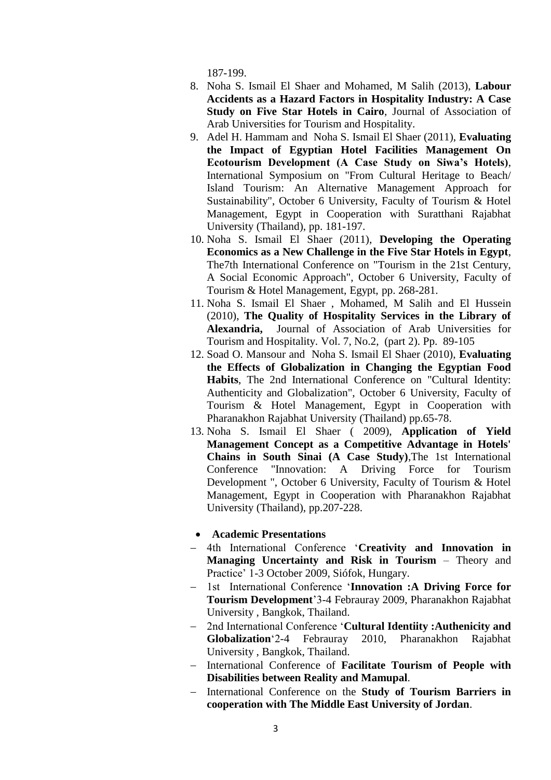187-199.

- 8. Noha S. Ismail El Shaer and Mohamed, M Salih (2013), **Labour Accidents as a Hazard Factors in Hospitality Industry: A Case Study on Five Star Hotels in Cairo**, Journal of Association of Arab Universities for Tourism and Hospitality.
- 9. Adel H. Hammam and Noha S. Ismail El Shaer (2011), **Evaluating the Impact of Egyptian Hotel Facilities Management On Ecotourism Development (A Case Study on Siwa's Hotels)**, International Symposium on "From Cultural Heritage to Beach/ Island Tourism: An Alternative Management Approach for Sustainability", October 6 University, Faculty of Tourism & Hotel Management, Egypt in Cooperation with Suratthani Rajabhat University (Thailand), pp. 181-197.
- 10. Noha S. Ismail El Shaer (2011), **Developing the Operating Economics as a New Challenge in the Five Star Hotels in Egypt**, The7th International Conference on "Tourism in the 21st Century, A Social Economic Approach", October 6 University, Faculty of Tourism & Hotel Management, Egypt, pp. 268-281.
- 11. Noha S. Ismail El Shaer , Mohamed, M Salih and El Hussein (2010), **The Quality of Hospitality Services in the Library of Alexandria,** Journal of Association of Arab Universities for Tourism and Hospitality. Vol. 7, No.2, (part 2). Pp. 89-105
- 12. Soad O. Mansour and Noha S. Ismail El Shaer (2010), **Evaluating the Effects of Globalization in Changing the Egyptian Food Habits**, The 2nd International Conference on "Cultural Identity: Authenticity and Globalization", October 6 University, Faculty of Tourism & Hotel Management, Egypt in Cooperation with Pharanakhon Rajabhat University (Thailand) pp.65-78.
- 13. Noha S. Ismail El Shaer ( 2009), **Application of Yield Management Concept as a Competitive Advantage in Hotels' Chains in South Sinai (A Case Study)**,The 1st International Conference "Innovation: A Driving Force for Tourism Development ", October 6 University, Faculty of Tourism & Hotel Management, Egypt in Cooperation with Pharanakhon Rajabhat University (Thailand), pp.207-228.

## **Academic Presentations**

- 4th International Conference '**Creativity and Innovation in Managing Uncertainty and Risk in Tourism** – Theory and Practice' 1-3 October 2009, Siófok, Hungary.
- 1st International Conference '**Innovation :A Driving Force for Tourism Development**'3-4 Febrauray 2009, Pharanakhon Rajabhat University , Bangkok, Thailand.
- 2nd International Conference '**Cultural Identiity :Authenicity and Globalization**'2-4 Febrauray 2010, Pharanakhon Rajabhat University , Bangkok, Thailand.
- International Conference of **Facilitate Tourism of People with Disabilities between Reality and Mamupal**.
- International Conference on the **Study of Tourism Barriers in cooperation with The Middle East University of Jordan**.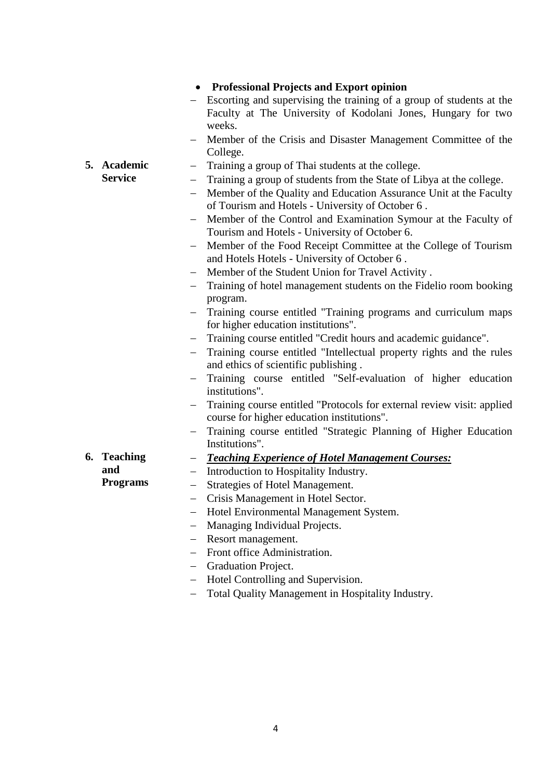|                                       | • Professional Projects and Export opinion                                                                                                                                                                                                                                                                                                                                                                                                                                                                                                                                                                                                                                                                                                                                                                                                                                                                                                                                               |
|---------------------------------------|------------------------------------------------------------------------------------------------------------------------------------------------------------------------------------------------------------------------------------------------------------------------------------------------------------------------------------------------------------------------------------------------------------------------------------------------------------------------------------------------------------------------------------------------------------------------------------------------------------------------------------------------------------------------------------------------------------------------------------------------------------------------------------------------------------------------------------------------------------------------------------------------------------------------------------------------------------------------------------------|
|                                       | Escorting and supervising the training of a group of students at the<br>Faculty at The University of Kodolani Jones, Hungary for two<br>weeks.                                                                                                                                                                                                                                                                                                                                                                                                                                                                                                                                                                                                                                                                                                                                                                                                                                           |
|                                       | Member of the Crisis and Disaster Management Committee of the<br>College.                                                                                                                                                                                                                                                                                                                                                                                                                                                                                                                                                                                                                                                                                                                                                                                                                                                                                                                |
| 5. Academic<br><b>Service</b>         | Training a group of Thai students at the college.<br>$-$<br>Training a group of students from the State of Libya at the college.<br>Member of the Quality and Education Assurance Unit at the Faculty<br>of Tourism and Hotels - University of October 6.<br>Member of the Control and Examination Symour at the Faculty of<br>Tourism and Hotels - University of October 6.<br>Member of the Food Receipt Committee at the College of Tourism<br>and Hotels Hotels - University of October 6.<br>Member of the Student Union for Travel Activity.<br>Training of hotel management students on the Fidelio room booking                                                                                                                                                                                                                                                                                                                                                                  |
| 6. Teaching<br>and<br><b>Programs</b> | program.<br>Training course entitled "Training programs and curriculum maps<br>for higher education institutions".<br>Training course entitled "Credit hours and academic guidance".<br>Training course entitled "Intellectual property rights and the rules<br>and ethics of scientific publishing.<br>Training course entitled "Self-evaluation of higher education<br>institutions".<br>Training course entitled "Protocols for external review visit: applied<br>—<br>course for higher education institutions".<br>Training course entitled "Strategic Planning of Higher Education<br>Institutions".<br><b>Teaching Experience of Hotel Management Courses:</b><br>н.<br>Introduction to Hospitality Industry.<br>$\overline{\phantom{0}}$<br>Strategies of Hotel Management.<br>Crisis Management in Hotel Sector.<br>Hotel Environmental Management System.<br>Managing Individual Projects.<br>Resort management.<br>Front office Administration.<br><b>Graduation Project.</b> |
|                                       | Hotel Controlling and Supervision.<br>Total Quality Management in Hospitality Industry.                                                                                                                                                                                                                                                                                                                                                                                                                                                                                                                                                                                                                                                                                                                                                                                                                                                                                                  |